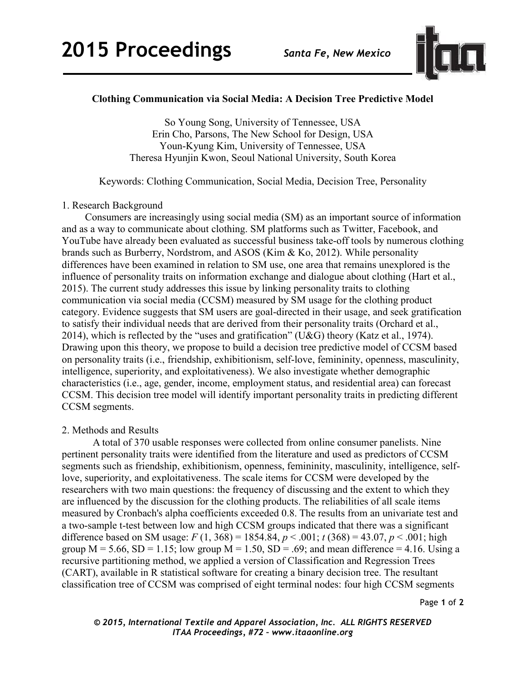

# **Clothing Communication via Social Media: A Decision Tree Predictive Model**

So Young Song, University of Tennessee, USA Erin Cho, Parsons, The New School for Design, USA Youn-Kyung Kim, University of Tennessee, USA Theresa Hyunjin Kwon, Seoul National University, South Korea

Keywords: Clothing Communication, Social Media, Decision Tree, Personality

### 1. Research Background

Consumers are increasingly using social media (SM) as an important source of information and as a way to communicate about clothing. SM platforms such as Twitter, Facebook, and YouTube have already been evaluated as successful business take-off tools by numerous clothing brands such as Burberry, Nordstrom, and ASOS (Kim & Ko, 2012). While personality differences have been examined in relation to SM use, one area that remains unexplored is the influence of personality traits on information exchange and dialogue about clothing (Hart et al., 2015). The current study addresses this issue by linking personality traits to clothing communication via social media (CCSM) measured by SM usage for the clothing product category. Evidence suggests that SM users are goal-directed in their usage, and seek gratification to satisfy their individual needs that are derived from their personality traits (Orchard et al., 2014), which is reflected by the "uses and gratification" (U&G) theory (Katz et al., 1974). Drawing upon this theory, we propose to build a decision tree predictive model of CCSM based on personality traits (i.e., friendship, exhibitionism, self-love, femininity, openness, masculinity, intelligence, superiority, and exploitativeness). We also investigate whether demographic characteristics (i.e., age, gender, income, employment status, and residential area) can forecast CCSM. This decision tree model will identify important personality traits in predicting different CCSM segments.

## 2. Methods and Results

A total of 370 usable responses were collected from online consumer panelists. Nine pertinent personality traits were identified from the literature and used as predictors of CCSM segments such as friendship, exhibitionism, openness, femininity, masculinity, intelligence, selflove, superiority, and exploitativeness. The scale items for CCSM were developed by the researchers with two main questions: the frequency of discussing and the extent to which they are influenced by the discussion for the clothing products. The reliabilities of all scale items measured by Cronbach's alpha coefficients exceeded 0.8. The results from an univariate test and a two-sample t-test between low and high CCSM groups indicated that there was a significant difference based on SM usage:  $F(1, 368) = 1854.84, p < .001$ ;  $t(368) = 43.07, p < .001$ ; high group  $M = 5.66$ ,  $SD = 1.15$ ; low group  $M = 1.50$ ,  $SD = .69$ ; and mean difference = 4.16. Using a recursive partitioning method, we applied a version of Classification and Regression Trees (CART), available in R statistical software for creating a binary decision tree. The resultant classification tree of CCSM was comprised of eight terminal nodes: four high CCSM segments

Page **1** of **2** 

*© 2015, International Textile and Apparel Association, Inc. ALL RIGHTS RESERVED ITAA Proceedings, #72 – www.itaaonline.org*